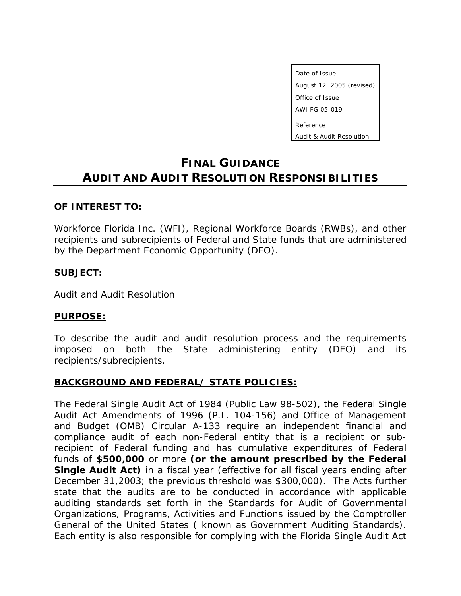Date of Issue August 12, 2005 (revised) Office of Issue AWI FG 05-019 Reference

Audit & Audit Resolution

# **FINAL GUIDANCE AUDIT AND AUDIT RESOLUTION RESPONSIBILITIES**

#### **OF INTEREST TO:**

Workforce Florida Inc. (WFI), Regional Workforce Boards (RWBs), and other recipients and subrecipients of Federal and State funds that are administered by the Department Economic Opportunity (DEO).

#### **SUBJECT:**

Audit and Audit Resolution

#### **PURPOSE:**

To describe the audit and audit resolution process and the requirements imposed on both the State administering entity (DEO) and its recipients/subrecipients.

# **BACKGROUND AND FEDERAL/ STATE POLICIES:**

The Federal Single Audit Act of 1984 (Public Law 98-502), the Federal Single Audit Act Amendments of 1996 (P.L. 104-156) and Office of Management and Budget (OMB) Circular A-133 require an independent financial and compliance audit of each non-Federal entity that is a recipient or subrecipient of Federal funding and has cumulative expenditures of Federal funds of **\$500,000** or more **(or the amount prescribed by the Federal Single Audit Act)** in a fiscal year (effective for all fiscal years ending after December 31,2003; the previous threshold was \$300,000). The Acts further state that the audits are to be conducted in accordance with applicable auditing standards set forth in the *Standards for Audit of Governmental Organizations, Programs, Activities and Functions* issued by the Comptroller General of the United States ( known as *Government Auditing Standards*). Each entity is also responsible for complying with the Florida Single Audit Act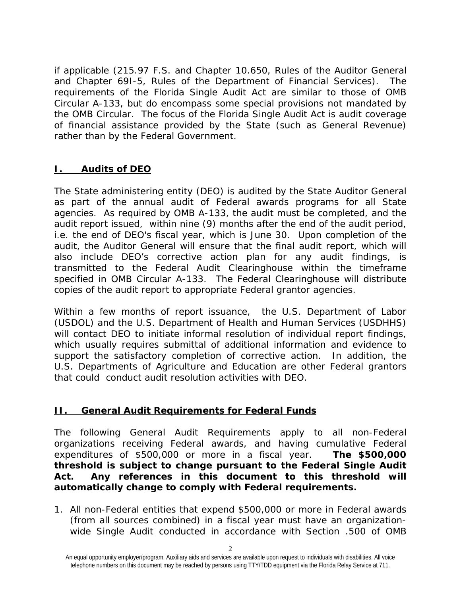if applicable (215.97 F.S. and Chapter 10.650, Rules of the Auditor General and Chapter 69I-5, Rules of the Department of Financial Services). The requirements of the Florida Single Audit Act are similar to those of OMB Circular A-133, but do encompass some special provisions not mandated by the OMB Circular. The focus of the Florida Single Audit Act is audit coverage of financial assistance provided by the State (such as General Revenue) rather than by the Federal Government.

# **I. Audits of DEO**

The State administering entity (DEO) is audited by the State Auditor General as part of the annual audit of Federal awards programs for all State agencies. As required by OMB A-133, the audit must be completed, and the audit report issued, within nine (9) months after the end of the audit period, i.e. the end of DEO's fiscal year, which is June 30. Upon completion of the audit, the Auditor General will ensure that the final audit report, which will also include DEO's corrective action plan for any audit findings, is transmitted to the Federal Audit Clearinghouse within the timeframe specified in OMB Circular A-133. The Federal Clearinghouse will distribute copies of the audit report to appropriate Federal grantor agencies.

Within a few months of report issuance, the U.S. Department of Labor (USDOL) and the U.S. Department of Health and Human Services (USDHHS) will contact DEO to initiate informal resolution of individual report findings, which usually requires submittal of additional information and evidence to support the satisfactory completion of corrective action. In addition, the U.S. Departments of Agriculture and Education are other Federal grantors that could conduct audit resolution activities with DEO.

#### **II. General Audit Requirements for Federal Funds**

The following General Audit Requirements apply to all non-Federal organizations receiving Federal awards, and having cumulative Federal expenditures of \$500,000 or more in a fiscal year. **The \$500,000 threshold is subject to change pursuant to the Federal Single Audit Act. Any references in this document to this threshold will automatically change to comply with Federal requirements.** 

1. All non-Federal entities that expend \$500,000 or more in Federal awards (from all sources combined) in a fiscal year must have an organizationwide Single Audit conducted in accordance with Section .500 of OMB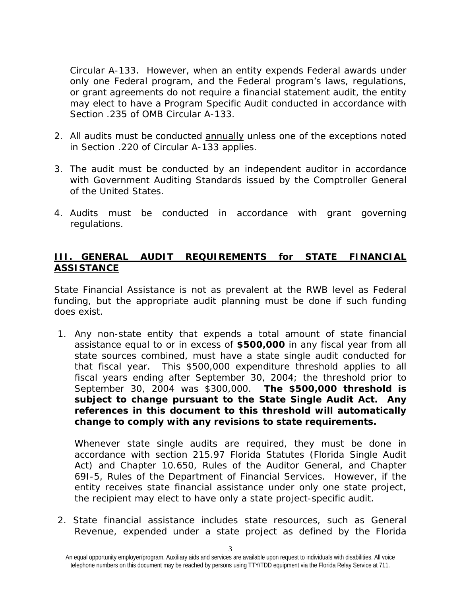Circular A-133. However, when an entity expends Federal awards under only one Federal program, and the Federal program's laws, regulations, or grant agreements do not require a financial statement audit, the entity may elect to have a Program Specific Audit conducted in accordance with Section .235 of OMB Circular A-133.

- 2. All audits must be conducted annually unless one of the exceptions noted in Section .220 of Circular A-133 applies.
- 3. The audit must be conducted by an independent auditor in accordance with Government Auditing Standards issued by the Comptroller General of the United States.
- 4. Audits must be conducted in accordance with grant governing regulations.

#### **III. GENERAL AUDIT REQUIREMENTS for STATE FINANCIAL ASSISTANCE**

State Financial Assistance is not as prevalent at the RWB level as Federal funding, but the appropriate audit planning must be done if such funding does exist.

1. Any non-state entity that expends a total amount of state financial assistance equal to or in excess of **\$500,000** in any fiscal year from all state sources combined, must have a state single audit conducted for that fiscal year. This \$500,000 expenditure threshold applies to all fiscal years ending after September 30, 2004; the threshold prior to September 30, 2004 was \$300,000. **The \$500,000 threshold is subject to change pursuant to the State Single Audit Act. Any references in this document to this threshold will automatically change to comply with any revisions to state requirements.** 

Whenever state single audits are required, they must be done in accordance with section 215.97 Florida Statutes (*Florida Single Audit Act*) and Chapter 10.650, Rules of the Auditor General, and Chapter 69I-5, Rules of the Department of Financial Services. However, if the entity receives state financial assistance under only one state project, the recipient may elect to have only a state project-specific audit.

2. State financial assistance includes state resources, such as General Revenue, expended under a state project as defined by the Florida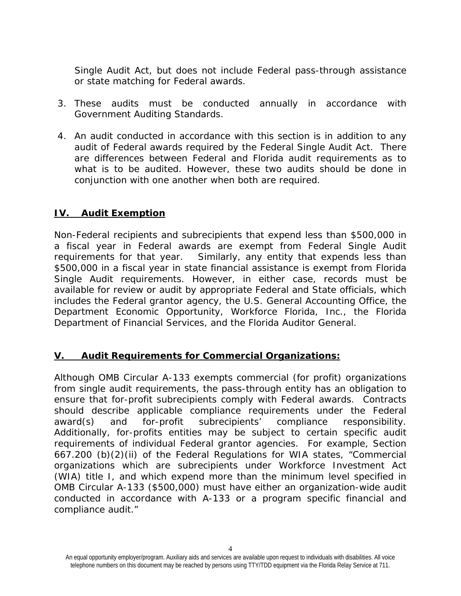Single Audit Act, but does not include Federal pass-through assistance or state matching for Federal awards.

- 3. These audits must be conducted annually in accordance with Government Auditing Standards.
- 4. An audit conducted in accordance with this section is in addition to any audit of Federal awards required by the Federal Single Audit Act. There are differences between Federal and Florida audit requirements as to what is to be audited. However, these two audits should be done in conjunction with one another when both are required.

#### **IV. Audit Exemption**

Non-Federal recipients and subrecipients that expend less than \$500,000 in a fiscal year in Federal awards are exempt from Federal Single Audit requirements for that year. Similarly, any entity that expends less than \$500,000 in a fiscal year in state financial assistance is exempt from Florida Single Audit requirements. However, in either case, records must be available for review or audit by appropriate Federal and State officials, which includes the Federal grantor agency, the U.S. General Accounting Office, the Department Economic Opportunity, Workforce Florida, Inc., the Florida Department of Financial Services, and the Florida Auditor General.

#### **V. Audit Requirements for Commercial Organizations:**

Although OMB Circular A-133 exempts commercial (for profit) organizations from single audit requirements, the pass-through entity has an obligation to ensure that for-profit subrecipients comply with Federal awards. Contracts should describe applicable compliance requirements under the Federal award(s) and for-profit subrecipients' compliance responsibility. Additionally, for-profits entities may be subject to certain specific audit requirements of individual Federal grantor agencies. For example, Section 667.200 (b)(2)(ii) of the Federal Regulations for WIA states, "Commercial organizations which are subrecipients under Workforce Investment Act (WIA) title I, and which expend more than the minimum level specified in OMB Circular A-133 (\$500,000) must have either an organization-wide audit conducted in accordance with A-133 or a program specific financial and compliance audit."

<sup>4</sup>

An equal opportunity employer/program. Auxiliary aids and services are available upon request to individuals with disabilities. All voice telephone numbers on this document may be reached by persons using TTY/TDD equipment via the Florida Relay Service at 711.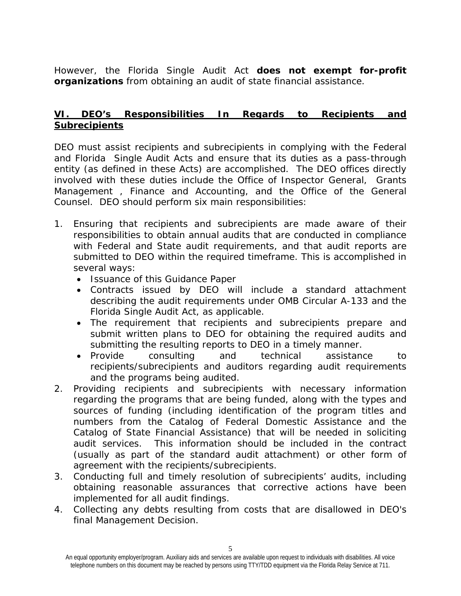However, the Florida Single Audit Act **does not exempt for-profit organizations** from obtaining an audit of state financial assistance.

# **VI. DEO's Responsibilities In Regards to Recipients and Subrecipients**

DEO must assist recipients and subrecipients in complying with the Federal and Florida Single Audit Acts and ensure that its duties as a pass-through entity (as defined in these Acts) are accomplished. The DEO offices directly involved with these duties include the Office of Inspector General, Grants Management , Finance and Accounting, and the Office of the General Counsel. DEO should perform six main responsibilities:

- 1. Ensuring that recipients and subrecipients are made aware of their responsibilities to obtain annual audits that are conducted in compliance with Federal and State audit requirements, and that audit reports are submitted to DEO within the required timeframe. This is accomplished in several ways:
	- Issuance of this Guidance Paper
	- Contracts issued by DEO will include a standard attachment describing the audit requirements under OMB Circular A-133 and the Florida Single Audit Act, as applicable.
	- The requirement that recipients and subrecipients prepare and submit written plans to DEO for obtaining the required audits and submitting the resulting reports to DEO in a timely manner.
	- Provide consulting and technical assistance to recipients/subrecipients and auditors regarding audit requirements and the programs being audited.
- 2. Providing recipients and subrecipients with necessary information regarding the programs that are being funded, along with the types and sources of funding (including identification of the program titles and numbers from the Catalog of Federal Domestic Assistance and the Catalog of State Financial Assistance) that will be needed in soliciting audit services. This information should be included in the contract (usually as part of the standard audit attachment) or other form of agreement with the recipients/subrecipients.
- 3. Conducting full and timely resolution of subrecipients' audits, including obtaining reasonable assurances that corrective actions have been implemented for all audit findings.
- 4. Collecting any debts resulting from costs that are disallowed in DEO's final Management Decision.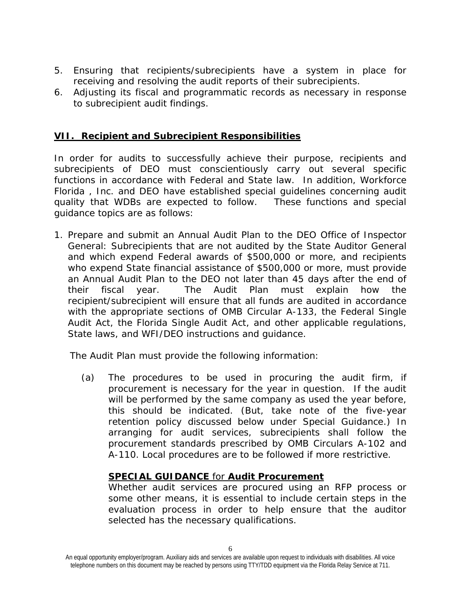- 5. Ensuring that recipients/subrecipients have a system in place for receiving and resolving the audit reports of their subrecipients.
- 6. Adjusting its fiscal and programmatic records as necessary in response to subrecipient audit findings.

#### **VII. Recipient and Subrecipient Responsibilities**

In order for audits to successfully achieve their purpose, recipients and subrecipients of DEO must conscientiously carry out several specific functions in accordance with Federal and State law. In addition, Workforce Florida , Inc. and DEO have established special guidelines concerning audit quality that WDBs are expected to follow. These functions and special guidance topics are as follows:

1. Prepare and submit an Annual Audit Plan to the DEO Office of Inspector General: Subrecipients that are not audited by the State Auditor General and which expend Federal awards of \$500,000 or more, and recipients who expend State financial assistance of \$500,000 or more, must provide an Annual Audit Plan to the DEO not later than 45 days after the end of their fiscal year. The Audit Plan must explain how the recipient/subrecipient will ensure that all funds are audited in accordance with the appropriate sections of OMB Circular A-133, the Federal Single Audit Act, the Florida Single Audit Act, and other applicable regulations, State laws, and WFI/DEO instructions and guidance.

The Audit Plan must provide the following information:

(a) The procedures to be used in procuring the audit firm, if procurement is necessary for the year in question. If the audit will be performed by the same company as used the year before, this should be indicated. (But, take note of the five-year retention policy discussed below under Special Guidance.) In arranging for audit services, subrecipients shall follow the procurement standards prescribed by OMB Circulars A-102 and A-110. Local procedures are to be followed if more restrictive.

#### **SPECIAL GUIDANCE** for **Audit Procurement**

Whether audit services are procured using an RFP process or some other means, it is essential to include certain steps in the evaluation process in order to help ensure that the auditor selected has the necessary qualifications.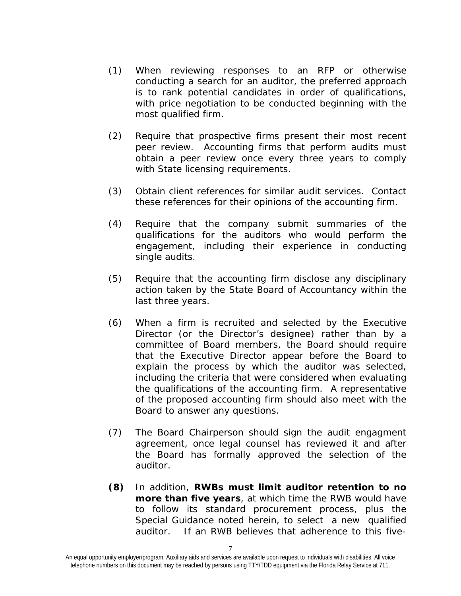- (1) When reviewing responses to an RFP or otherwise conducting a search for an auditor, the preferred approach is to rank potential candidates in order of qualifications, with price negotiation to be conducted beginning with the most qualified firm.
- (2) Require that prospective firms present their most recent peer review. Accounting firms that perform audits must obtain a peer review once every three years to comply with State licensing requirements.
- (3) Obtain client references for similar audit services. Contact these references for their opinions of the accounting firm.
- (4) Require that the company submit summaries of the qualifications for the auditors who would perform the engagement, including their experience in conducting single audits.
- (5) Require that the accounting firm disclose any disciplinary action taken by the State Board of Accountancy within the last three years.
- (6) When a firm is recruited and selected by the Executive Director (or the Director's designee) rather than by a committee of Board members, the Board should require that the Executive Director appear before the Board to explain the process by which the auditor was selected, including the criteria that were considered when evaluating the qualifications of the accounting firm. A representative of the proposed accounting firm should also meet with the Board to answer any questions.
- (7) The Board Chairperson should sign the audit engagment agreement, once legal counsel has reviewed it and after the Board has formally approved the selection of the auditor.
- **(8)** In addition, **RWBs must limit auditor retention to no more than five years**, at which time the RWB would have to follow its standard procurement process, plus the Special Guidance noted herein, to select a new qualified auditor. If an RWB believes that adherence to this five-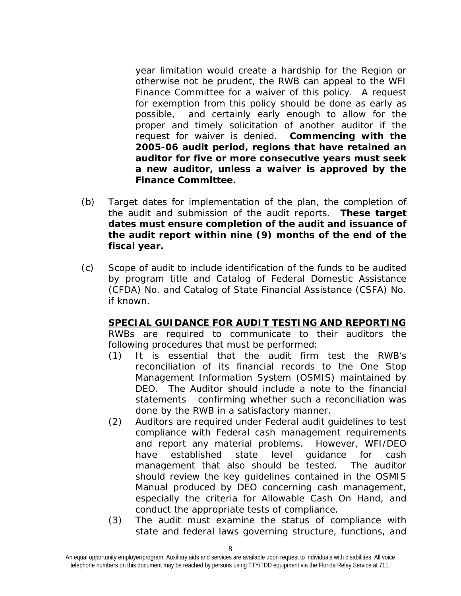year limitation would create a hardship for the Region or otherwise not be prudent, the RWB can appeal to the WFI Finance Committee for a waiver of this policy. A request for exemption from this policy should be done as early as possible, and certainly early enough to allow for the proper and timely solicitation of another auditor if the request for waiver is denied. **Commencing with the 2005-06 audit period, regions that have retained an auditor for five or more consecutive years must seek a new auditor, unless a waiver is approved by the Finance Committee.** 

- (b) Target dates for implementation of the plan, the completion of the audit and submission of the audit reports. **These target dates must ensure completion of the audit and issuance of the audit report within nine (9) months of the end of the fiscal year.**
- (c) Scope of audit to include identification of the funds to be audited by program title and Catalog of Federal Domestic Assistance (CFDA) No. and Catalog of State Financial Assistance (CSFA) No. if known.

**SPECIAL GUIDANCE FOR AUDIT TESTING AND REPORTING**  RWBs are required to communicate to their auditors the following procedures that must be performed:

- (1) It is essential that the audit firm test the RWB's reconciliation of its financial records to the One Stop Management Information System (OSMIS) maintained by DEO. The Auditor should include a note to the financial statements confirming whether such a reconciliation was done by the RWB in a satisfactory manner.
- (2) Auditors are required under Federal audit guidelines to test compliance with Federal cash management requirements and report any material problems. However, WFI/DEO have established state level guidance for cash management that also should be tested. The auditor should review the key guidelines contained in the OSMIS Manual produced by DEO concerning cash management, especially the criteria for Allowable Cash On Hand, and conduct the appropriate tests of compliance.
- (3) The audit must examine the status of compliance with state and federal laws governing structure, functions, and

An equal opportunity employer/program. Auxiliary aids and services are available upon request to individuals with disabilities. All voice telephone numbers on this document may be reached by persons using TTY/TDD equipment via the Florida Relay Service at 711.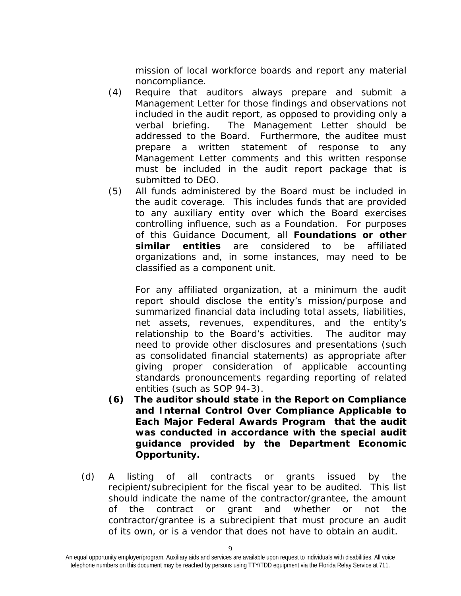mission of local workforce boards and report any material noncompliance.

- (4) Require that auditors always prepare and submit a Management Letter for those findings and observations not included in the audit report, as opposed to providing only a verbal briefing. The Management Letter should be addressed to the Board. Furthermore, the auditee must prepare a written statement of response to any Management Letter comments and this written response must be included in the audit report package that is submitted to DEO.
- (5) All funds administered by the Board must be included in the audit coverage. This includes funds that are provided to any auxiliary entity over which the Board exercises controlling influence, such as a Foundation. For purposes of this Guidance Document, all **Foundations or other similar entities** are considered to be affiliated organizations and, in some instances, may need to be classified as a component unit.

For any affiliated organization, at a minimum the audit report should disclose the entity's mission/purpose and summarized financial data including total assets, liabilities, net assets, revenues, expenditures, and the entity's relationship to the Board's activities. The auditor may need to provide other disclosures and presentations (such as consolidated financial statements) as appropriate after giving proper consideration of applicable accounting standards pronouncements regarding reporting of related entities (such as SOP 94-3).

- **(6) The auditor should state in the** *Report on Compliance and Internal Control Over Compliance Applicable to Each Major Federal Awards Program* **that the audit was conducted in accordance with the special audit guidance provided by the Department Economic Opportunity.**
- (d) A listing of all contracts or grants issued by the recipient/subrecipient for the fiscal year to be audited. This list should indicate the name of the contractor/grantee, the amount of the contract or grant and whether or not the contractor/grantee is a subrecipient that must procure an audit of its own, or is a vendor that does not have to obtain an audit.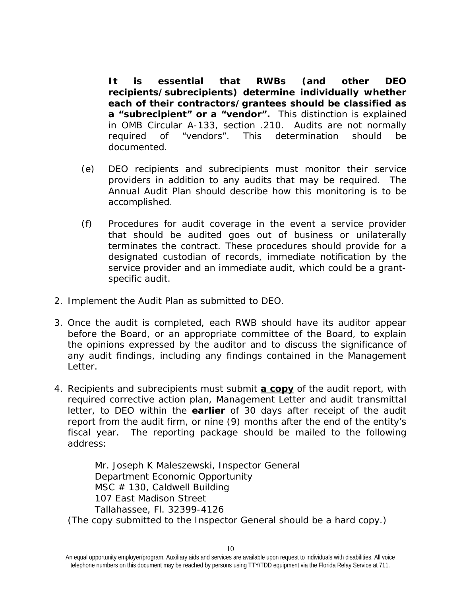**It is essential that RWBs (and other DEO recipients/subrecipients) determine individually whether each of their contractors/grantees should be classified as a "subrecipient" or a "vendor".** This distinction is explained in OMB Circular A-133, section .210. Audits are not normally required of "vendors". This determination should be documented.

- (e) DEO recipients and subrecipients must monitor their service providers in addition to any audits that may be required. The Annual Audit Plan should describe how this monitoring is to be accomplished.
- (f) Procedures for audit coverage in the event a service provider that should be audited goes out of business or unilaterally terminates the contract. These procedures should provide for a designated custodian of records, immediate notification by the service provider and an immediate audit, which could be a grantspecific audit.
- 2. Implement the Audit Plan as submitted to DEO.
- 3. Once the audit is completed, each RWB should have its auditor appear before the Board, or an appropriate committee of the Board, to explain the opinions expressed by the auditor and to discuss the significance of any audit findings, including any findings contained in the Management Letter.
- 4. Recipients and subrecipients must submit **a copy** of the audit report, with required corrective action plan, Management Letter and audit transmittal letter, to DEO within the **earlier** of 30 days after receipt of the audit report from the audit firm, or nine (9) months after the end of the entity's fiscal year. The reporting package should be mailed to the following address:

Mr. Joseph K Maleszewski, Inspector General Department Economic Opportunity MSC # 130, Caldwell Building 107 East Madison Street Tallahassee, Fl. 32399-4126 *(The copy submitted to the Inspector General should be a hard copy.)*

An equal opportunity employer/program. Auxiliary aids and services are available upon request to individuals with disabilities. All voice telephone numbers on this document may be reached by persons using TTY/TDD equipment via the Florida Relay Service at 711.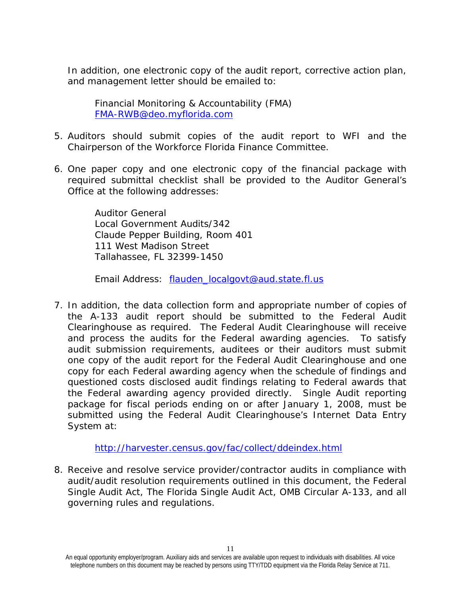In addition, one electronic copy of the audit report, corrective action plan, and management letter should be emailed to:

Financial Monitoring & Accountability (FMA) [FMA-RWB@deo.myflorida.com](mailto:FMA-RWB@deo.myflorida.com)

- 5. Auditors should submit copies of the audit report to WFI and the Chairperson of the Workforce Florida Finance Committee.
- 6. One paper copy and one electronic copy of the financial package with required submittal checklist shall be provided to the Auditor General's Office at the following addresses:

Auditor General Local Government Audits/342 Claude Pepper Building, Room 401 111 West Madison Street Tallahassee, FL 32399-1450

Email Address: [flauden\\_localgovt@aud.state.fl.us](mailto:flauden_localgovt@aud.state.fl.us)

7. In addition, the data collection form and appropriate number of copies of the A-133 audit report should be submitted to the Federal Audit Clearinghouse as required. The Federal Audit Clearinghouse will receive and process the audits for the Federal awarding agencies. To satisfy audit submission requirements, auditees or their auditors must submit one copy of the audit report for the Federal Audit Clearinghouse and one copy for each Federal awarding agency when the schedule of findings and questioned costs disclosed audit findings relating to Federal awards that the Federal awarding agency provided directly. Single Audit reporting package for fiscal periods ending on or after January 1, 2008, must be submitted using the Federal Audit Clearinghouse's Internet Data Entry System at:

#### <http://harvester.census.gov/fac/collect/ddeindex.html>

8. Receive and resolve service provider/contractor audits in compliance with audit/audit resolution requirements outlined in this document, the Federal Single Audit Act, The Florida Single Audit Act, OMB Circular A-133, and all governing rules and regulations.

An equal opportunity employer/program. Auxiliary aids and services are available upon request to individuals with disabilities. All voice telephone numbers on this document may be reached by persons using TTY/TDD equipment via the Florida Relay Service at 711.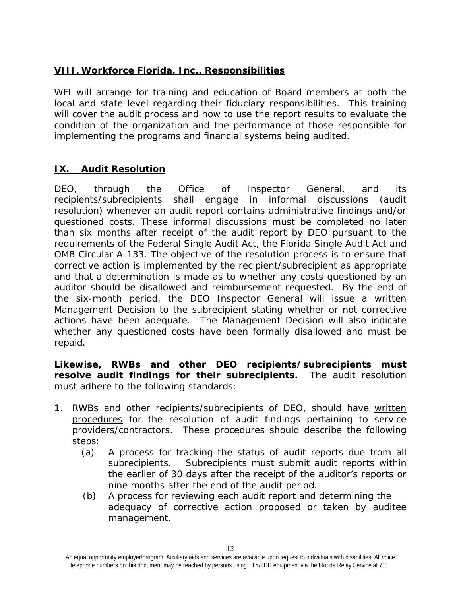# **VIII. Workforce Florida, Inc., Responsibilities**

WFI will arrange for training and education of Board members at both the local and state level regarding their fiduciary responsibilities. This training will cover the audit process and how to use the report results to evaluate the condition of the organization and the performance of those responsible for implementing the programs and financial systems being audited.

# **IX. Audit Resolution**

DEO, through the Office of Inspector General, and its recipients/subrecipients shall engage in informal discussions (audit resolution) whenever an audit report contains administrative findings and/or questioned costs. These informal discussions must be completed no later than six months after receipt of the audit report by DEO pursuant to the requirements of the Federal Single Audit Act, the Florida Single Audit Act and OMB Circular A-133. The objective of the resolution process is to ensure that corrective action is implemented by the recipient/subrecipient as appropriate and that a determination is made as to whether any costs questioned by an auditor should be disallowed and reimbursement requested. By the end of the six-month period, the DEO Inspector General will issue a written Management Decision to the subrecipient stating whether or not corrective actions have been adequate. The Management Decision will also indicate whether any questioned costs have been formally disallowed and must be repaid.

**Likewise, RWBs and other DEO recipients/subrecipients must resolve audit findings for their subrecipients.** The audit resolution must adhere to the following standards:

- 1. RWBs and other recipients/subrecipients of DEO, should have written procedures for the resolution of audit findings pertaining to service providers/contractors. These procedures should describe the following steps:
	- (a) A process for tracking the status of audit reports due from all subrecipients. Subrecipients must submit audit reports within the earlier of 30 days after the receipt of the auditor's reports or nine months after the end of the audit period.
	- (b) A process for reviewing each audit report and determining the adequacy of corrective action proposed or taken by auditee management.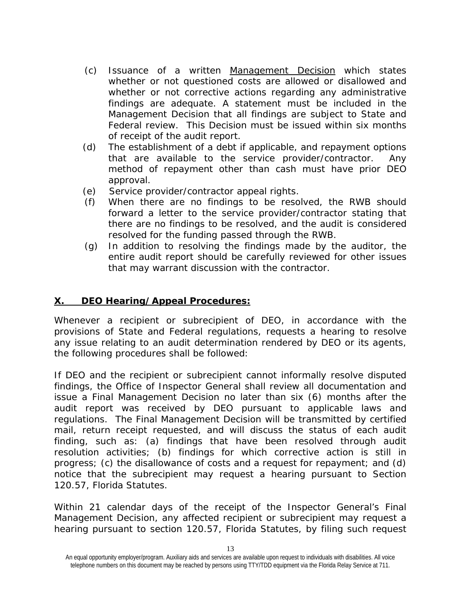- (c) Issuance of a written Management Decision which states whether or not questioned costs are allowed or disallowed and whether or not corrective actions regarding any administrative findings are adequate. A statement must be included in the Management Decision that all findings are subject to State and Federal review. This Decision must be issued within six months of receipt of the audit report.
- (d) The establishment of a debt if applicable, and repayment options that are available to the service provider/contractor. Any method of repayment other than cash must have prior DEO approval.
- (e) Service provider/contractor appeal rights.
- (f) When there are no findings to be resolved, the RWB should forward a letter to the service provider/contractor stating that there are no findings to be resolved, and the audit is considered resolved for the funding passed through the RWB.
- (g) In addition to resolving the findings made by the auditor, the entire audit report should be carefully reviewed for other issues that may warrant discussion with the contractor.

# **X. DEO Hearing/Appeal Procedures:**

Whenever a recipient or subrecipient of DEO, in accordance with the provisions of State and Federal regulations, requests a hearing to resolve any issue relating to an audit determination rendered by DEO or its agents, the following procedures shall be followed:

If DEO and the recipient or subrecipient cannot informally resolve disputed findings, the Office of Inspector General shall review all documentation and issue a Final Management Decision no later than six (6) months after the audit report was received by DEO pursuant to applicable laws and regulations. The Final Management Decision will be transmitted by certified mail, return receipt requested, and will discuss the status of each audit finding, such as: (a) findings that have been resolved through audit resolution activities; (b) findings for which corrective action is still in progress; (c) the disallowance of costs and a request for repayment; and (d) notice that the subrecipient may request a hearing pursuant to Section 120.57, Florida Statutes.

Within 21 calendar days of the receipt of the Inspector General's Final Management Decision, any affected recipient or subrecipient may request a hearing pursuant to section 120.57, Florida Statutes, by filing such request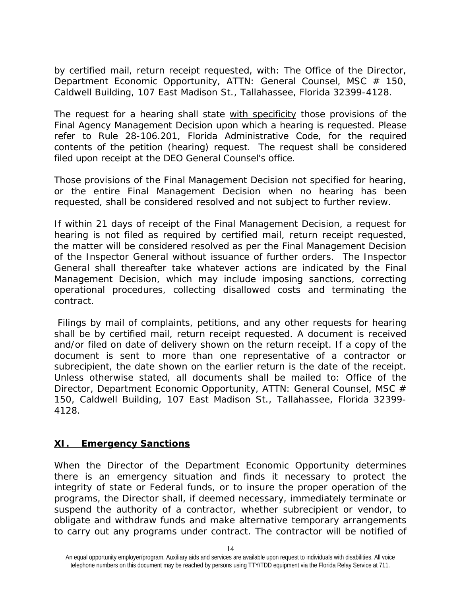by certified mail, return receipt requested, with: The Office of the Director, Department Economic Opportunity, ATTN: General Counsel, MSC # 150, Caldwell Building, 107 East Madison St., Tallahassee, Florida 32399-4128.

The request for a hearing shall state with specificity those provisions of the Final Agency Management Decision upon which a hearing is requested. Please refer to Rule 28-106.201, Florida Administrative Code, for the required contents of the petition (hearing) request. The request shall be considered filed upon receipt at the DEO General Counsel's office.

Those provisions of the Final Management Decision not specified for hearing, or the entire Final Management Decision when no hearing has been requested, shall be considered resolved and not subject to further review.

If within 21 days of receipt of the Final Management Decision, a request for hearing is not filed as required by certified mail, return receipt requested, the matter will be considered resolved as per the Final Management Decision of the Inspector General without issuance of further orders. The Inspector General shall thereafter take whatever actions are indicated by the Final Management Decision, which may include imposing sanctions, correcting operational procedures, collecting disallowed costs and terminating the contract.

Filings by mail of complaints, petitions, and any other requests for hearing shall be by certified mail, return receipt requested. A document is received and/or filed on date of delivery shown on the return receipt. If a copy of the document is sent to more than one representative of a contractor or subrecipient, the date shown on the earlier return is the date of the receipt. Unless otherwise stated, all documents shall be mailed to: Office of the Director, Department Economic Opportunity, ATTN: General Counsel, MSC # 150, Caldwell Building, 107 East Madison St., Tallahassee, Florida 32399- 4128.

#### **XI. Emergency Sanctions**

When the Director of the Department Economic Opportunity determines there is an emergency situation and finds it necessary to protect the integrity of state or Federal funds, or to insure the proper operation of the programs, the Director shall, if deemed necessary, immediately terminate or suspend the authority of a contractor, whether subrecipient or vendor, to obligate and withdraw funds and make alternative temporary arrangements to carry out any programs under contract. The contractor will be notified of